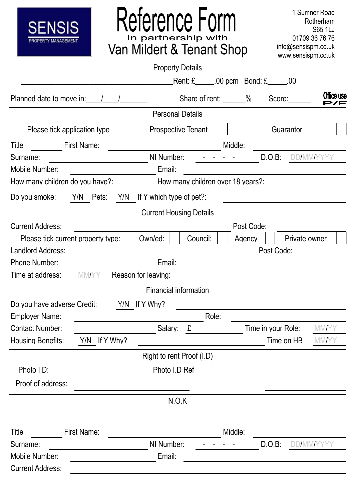

# Reference Form

1 Sumner Road Rotherham S65 1LJ 01709 36 76 76 info@sensispm.co.uk www.sensispm.co.uk

|                                                                                    |                     | <b>Property Details</b>        |          |                                             |                      |                             |                   |
|------------------------------------------------------------------------------------|---------------------|--------------------------------|----------|---------------------------------------------|----------------------|-----------------------------|-------------------|
|                                                                                    |                     |                                |          | Rent: $£$ ______.00 pcm Bond: $£$ ______.00 |                      |                             |                   |
| Planned date to move in:                                                           |                     |                                |          | Share of rent: ______%                      |                      | Score:                      | Office use<br>>/F |
|                                                                                    |                     | <b>Personal Details</b>        |          |                                             |                      |                             |                   |
| Please tick application type                                                       |                     | <b>Prospective Tenant</b>      |          |                                             |                      | Guarantor                   |                   |
| Title                                                                              | First Name:         |                                |          | Middle:                                     |                      |                             |                   |
| Surname:                                                                           |                     | NI Number:                     |          |                                             |                      | D.O.B:                      | <b>DD/MM/YYYY</b> |
| Mobile Number:                                                                     |                     | Email:                         |          |                                             |                      |                             |                   |
| How many children do you have?:                                                    |                     |                                |          | How many children over 18 years?:           |                      |                             |                   |
| Do you smoke:                                                                      | Y/N<br>Pets:<br>Y/N | If Y which type of pet?:       |          |                                             |                      |                             |                   |
|                                                                                    |                     | <b>Current Housing Details</b> |          |                                             |                      |                             |                   |
| <b>Current Address:</b><br>Please tick current property type:<br>Landlord Address: |                     | Own/ed:                        | Council: |                                             | Post Code:<br>Agency | Private owner<br>Post Code: |                   |
| <b>Phone Number:</b>                                                               |                     | Email:                         |          |                                             |                      |                             |                   |
| Time at address:                                                                   | MMAYY               | Reason for leaving:            |          |                                             |                      |                             |                   |
|                                                                                    |                     | <b>Financial information</b>   |          |                                             |                      |                             |                   |
| Do you have adverse Credit:                                                        |                     | Y/N If Y Why?                  |          |                                             |                      |                             |                   |
| <b>Employer Name:</b>                                                              |                     |                                |          | Role:                                       |                      |                             |                   |
| <b>Contact Number:</b>                                                             |                     | Salary:                        | £        |                                             |                      | Time in your Role: MM/YY    |                   |
| <b>Housing Benefits:</b>                                                           | Y/N<br>If Y Why?    |                                |          |                                             |                      | Time on HB                  | <b>MM/YY</b>      |
|                                                                                    |                     | Right to rent Proof (I.D)      |          |                                             |                      |                             |                   |
| Photo I.D:                                                                         |                     | Photo I.D Ref                  |          |                                             |                      |                             |                   |
| Proof of address:                                                                  |                     |                                |          |                                             |                      |                             |                   |
|                                                                                    |                     | N.O.K                          |          |                                             |                      |                             |                   |
| Title                                                                              | First Name:         |                                |          | Middle:                                     |                      |                             |                   |
| Surname:                                                                           |                     | NI Number:                     |          |                                             |                      | D.O.B:                      | <b>DD/MM/YYYY</b> |
| Mobile Number:                                                                     |                     | Email:                         |          |                                             |                      |                             |                   |
| <b>Current Address:</b>                                                            |                     |                                |          |                                             |                      |                             |                   |